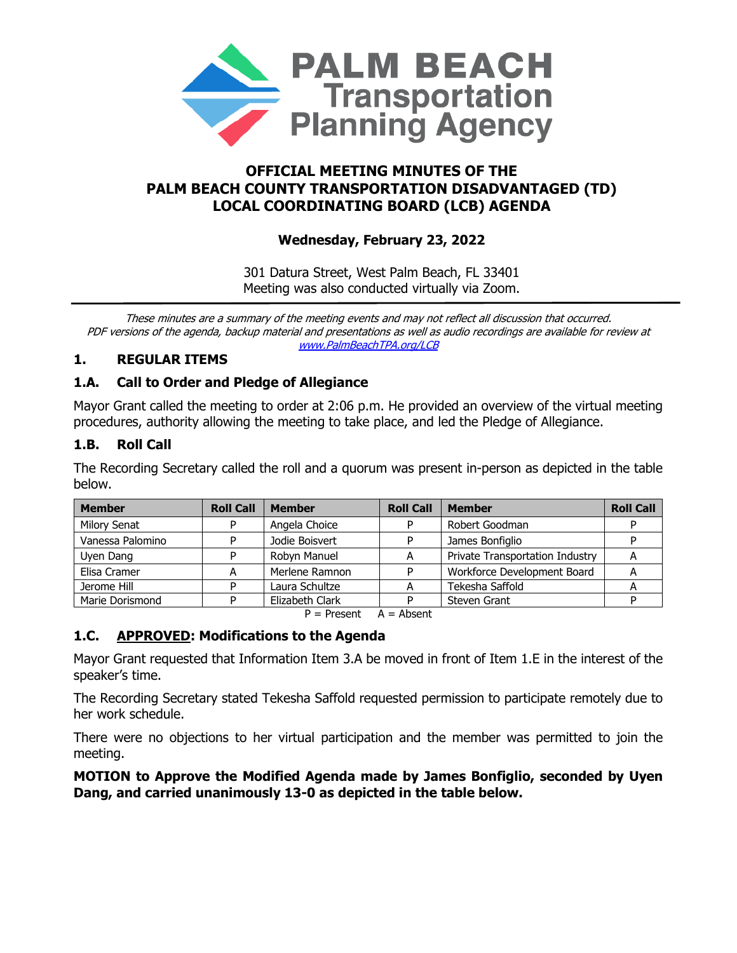

# **OFFICIAL MEETING MINUTES OF THE PALM BEACH COUNTY TRANSPORTATION DISADVANTAGED (TD) LOCAL COORDINATING BOARD (LCB) AGENDA**

# **Wednesday, February 23, 2022**

301 Datura Street, West Palm Beach, FL 33401 Meeting was also conducted virtually via Zoom.

These minutes are a summary of the meeting events and may not reflect all discussion that occurred. PDF versions of the agenda, backup material and presentations as well as audio recordings are available for review at www.PalmBeachTPA.org/LCB

## **1. REGULAR ITEMS**

# **1.A. Call to Order and Pledge of Allegiance**

Mayor Grant called the meeting to order at 2:06 p.m. He provided an overview of the virtual meeting procedures, authority allowing the meeting to take place, and led the Pledge of Allegiance.

## **1.B. Roll Call**

The Recording Secretary called the roll and a quorum was present in-person as depicted in the table below.

| <b>Member</b>       | <b>Roll Call</b> | <b>Member</b>   | <b>Roll Call</b> | <b>Member</b>                   | <b>Roll Call</b> |
|---------------------|------------------|-----------------|------------------|---------------------------------|------------------|
| <b>Milory Senat</b> | D                | Angela Choice   |                  | Robert Goodman                  |                  |
| Vanessa Palomino    | D                | Jodie Boisvert  |                  | James Bonfiglio                 |                  |
| Uyen Dang           |                  | Robyn Manuel    | А                | Private Transportation Industry | A                |
| Elisa Cramer        | А                | Merlene Ramnon  | ח                | Workforce Development Board     |                  |
| Jerome Hill         |                  | Laura Schultze  |                  | Tekesha Saffold                 |                  |
| Marie Dorismond     |                  | Elizabeth Clark |                  | <b>Steven Grant</b>             |                  |

 $P =$  Present  $A =$  Absent

### **1.C. APPROVED: Modifications to the Agenda**

Mayor Grant requested that Information Item 3.A be moved in front of Item 1.E in the interest of the speaker's time.

The Recording Secretary stated Tekesha Saffold requested permission to participate remotely due to her work schedule.

There were no objections to her virtual participation and the member was permitted to join the meeting.

#### **MOTION to Approve the Modified Agenda made by James Bonfiglio, seconded by Uyen Dang, and carried unanimously 13-0 as depicted in the table below.**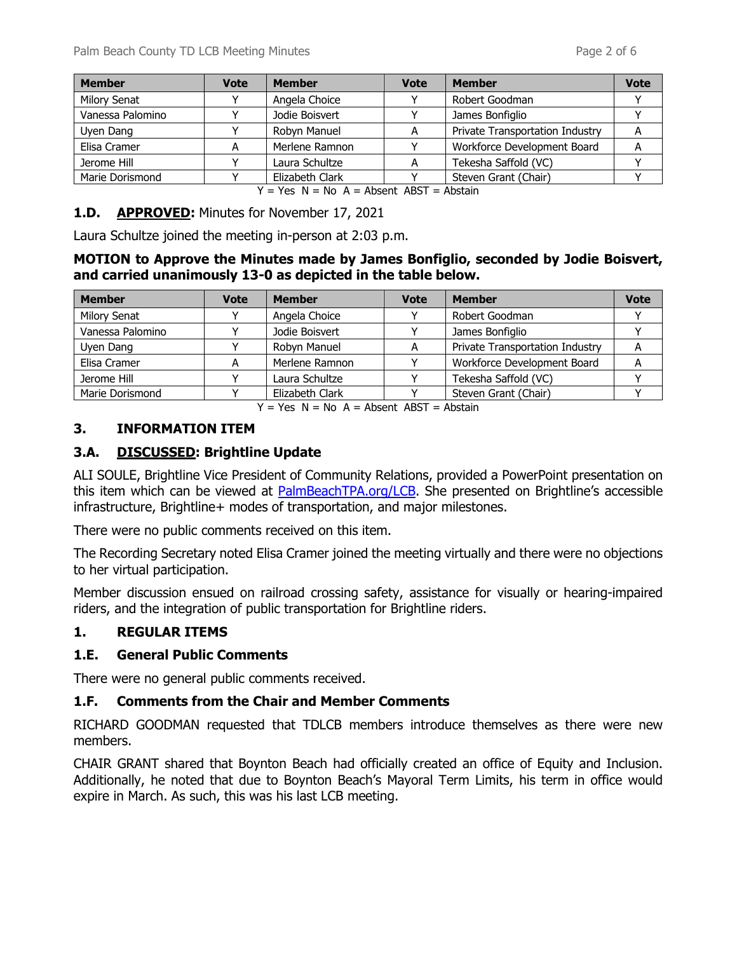| <b>Member</b>       | <b>Vote</b> | <b>Member</b>   | <b>Vote</b> | <b>Member</b>                   |  |
|---------------------|-------------|-----------------|-------------|---------------------------------|--|
| <b>Milory Senat</b> |             | Angela Choice   |             | Robert Goodman                  |  |
| Vanessa Palomino    |             | Jodie Boisvert  |             | James Bonfiglio                 |  |
| Uyen Dang           |             | Robyn Manuel    |             | Private Transportation Industry |  |
| Elisa Cramer        |             | Merlene Ramnon  |             | Workforce Development Board     |  |
| Jerome Hill         |             | Laura Schultze  |             | Tekesha Saffold (VC)            |  |
| Marie Dorismond     |             | Elizabeth Clark |             | Steven Grant (Chair)            |  |

 $Y = Yes \tN = No \tA = Absent ABST = Abstain$ 

#### **1.D. APPROVED:** Minutes for November 17, 2021

Laura Schultze joined the meeting in-person at 2:03 p.m.

#### **MOTION to Approve the Minutes made by James Bonfiglio, seconded by Jodie Boisvert, and carried unanimously 13-0 as depicted in the table below.**

| <b>Member</b>       | <b>Vote</b> | <b>Member</b>   | <b>Vote</b> | <b>Member</b>                   | <b>Vote</b> |
|---------------------|-------------|-----------------|-------------|---------------------------------|-------------|
| <b>Milory Senat</b> |             | Angela Choice   |             | Robert Goodman                  |             |
| Vanessa Palomino    |             | Jodie Boisvert  |             | James Bonfiglio                 |             |
| Uyen Dang           |             | Robyn Manuel    |             | Private Transportation Industry |             |
| Elisa Cramer        | A           | Merlene Ramnon  |             | Workforce Development Board     |             |
| Jerome Hill         |             | Laura Schultze  |             | Tekesha Saffold (VC)            |             |
| Marie Dorismond     |             | Elizabeth Clark |             | Steven Grant (Chair)            |             |

 $Y = Yes \tN = No \tA = Absent ABST = Abstain$ 

### **3. INFORMATION ITEM**

### **3.A. DISCUSSED: Brightline Update**

ALI SOULE, Brightline Vice President of Community Relations, provided a PowerPoint presentation on this item which can be viewed at [PalmBeachTPA.org/LCB.](http://www.palmbeachtpa.org/LCB) She presented on Brightline's accessible infrastructure, Brightline+ modes of transportation, and major milestones.

There were no public comments received on this item.

The Recording Secretary noted Elisa Cramer joined the meeting virtually and there were no objections to her virtual participation.

Member discussion ensued on railroad crossing safety, assistance for visually or hearing-impaired riders, and the integration of public transportation for Brightline riders.

### **1. REGULAR ITEMS**

### **1.E. General Public Comments**

There were no general public comments received.

#### **1.F. Comments from the Chair and Member Comments**

RICHARD GOODMAN requested that TDLCB members introduce themselves as there were new members.

CHAIR GRANT shared that Boynton Beach had officially created an office of Equity and Inclusion. Additionally, he noted that due to Boynton Beach's Mayoral Term Limits, his term in office would expire in March. As such, this was his last LCB meeting.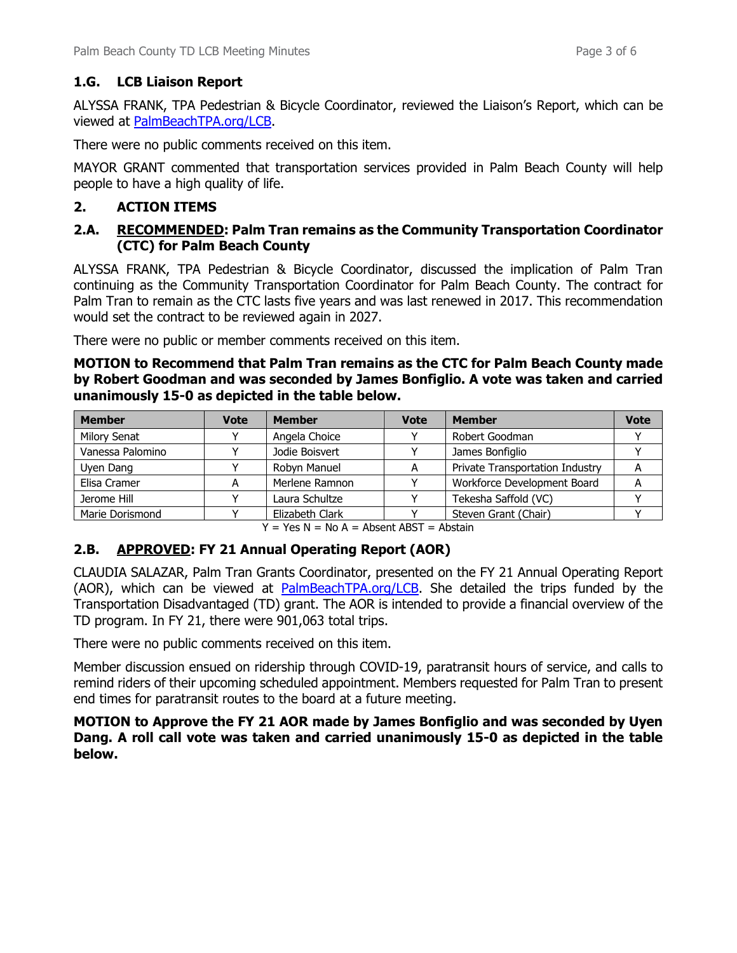### **1.G. LCB Liaison Report**

ALYSSA FRANK, TPA Pedestrian & Bicycle Coordinator, reviewed the Liaison's Report, which can be viewed at [PalmBeachTPA.org/LCB.](http://www.palmbeachtpa.org/LCB)

There were no public comments received on this item.

MAYOR GRANT commented that transportation services provided in Palm Beach County will help people to have a high quality of life.

### **2. ACTION ITEMS**

### **2.A. RECOMMENDED: Palm Tran remains as the Community Transportation Coordinator (CTC) for Palm Beach County**

ALYSSA FRANK, TPA Pedestrian & Bicycle Coordinator, discussed the implication of Palm Tran continuing as the Community Transportation Coordinator for Palm Beach County. The contract for Palm Tran to remain as the CTC lasts five years and was last renewed in 2017. This recommendation would set the contract to be reviewed again in 2027.

There were no public or member comments received on this item.

**MOTION to Recommend that Palm Tran remains as the CTC for Palm Beach County made by Robert Goodman and was seconded by James Bonfiglio. A vote was taken and carried unanimously 15-0 as depicted in the table below.**

| <b>Member</b>       | <b>Vote</b> | <b>Member</b>   | <b>Vote</b> | <b>Member</b>                   | <b>Vote</b> |
|---------------------|-------------|-----------------|-------------|---------------------------------|-------------|
| <b>Milory Senat</b> |             | Angela Choice   |             | Robert Goodman                  |             |
| Vanessa Palomino    |             | Jodie Boisvert  |             | James Bonfiglio                 |             |
| Uyen Dang           |             | Robyn Manuel    |             | Private Transportation Industry |             |
| Elisa Cramer        |             | Merlene Ramnon  |             | Workforce Development Board     |             |
| Jerome Hill         |             | Laura Schultze  |             | Tekesha Saffold (VC)            |             |
| Marie Dorismond     |             | Elizabeth Clark |             | Steven Grant (Chair)            |             |

 $Y = Yes \ N = No \ A = Absent ABST = Abstain$ 

# **2.B. APPROVED: FY 21 Annual Operating Report (AOR)**

CLAUDIA SALAZAR, Palm Tran Grants Coordinator, presented on the FY 21 Annual Operating Report (AOR), which can be viewed at **PalmBeachTPA.org/LCB**. She detailed the trips funded by the Transportation Disadvantaged (TD) grant. The AOR is intended to provide a financial overview of the TD program. In FY 21, there were 901,063 total trips.

There were no public comments received on this item.

Member discussion ensued on ridership through COVID-19, paratransit hours of service, and calls to remind riders of their upcoming scheduled appointment. Members requested for Palm Tran to present end times for paratransit routes to the board at a future meeting.

**MOTION to Approve the FY 21 AOR made by James Bonfiglio and was seconded by Uyen Dang. A roll call vote was taken and carried unanimously 15-0 as depicted in the table below.**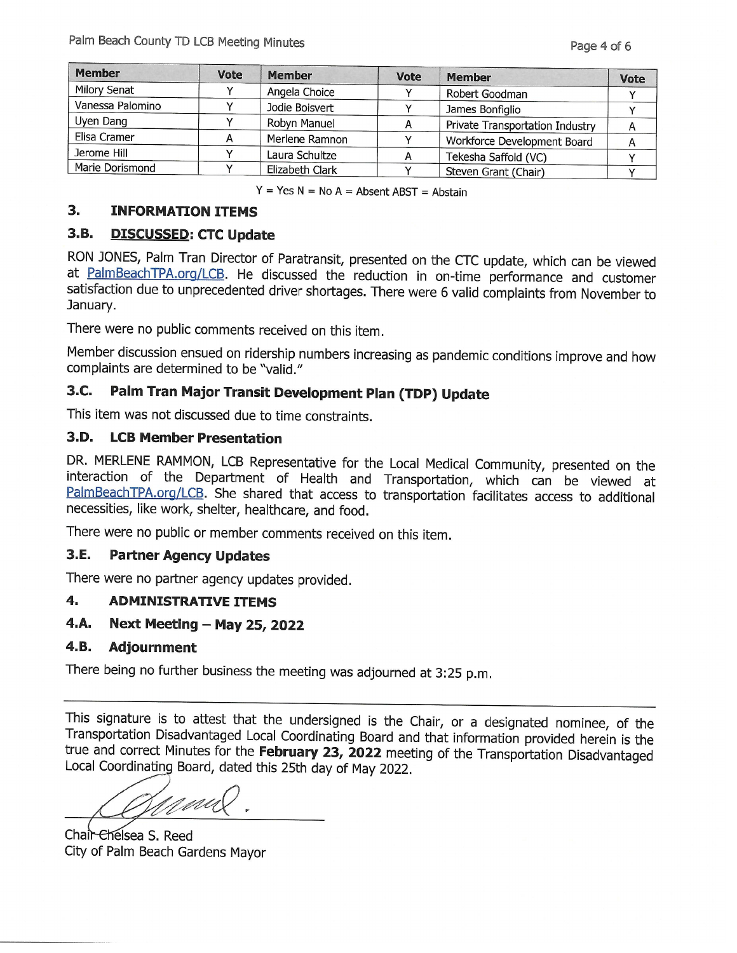| <b>Member</b>       | <b>Vote</b> | <b>Member</b>   | <b>Vote</b> | <b>Member</b>                   | <b>Vote</b> |
|---------------------|-------------|-----------------|-------------|---------------------------------|-------------|
| <b>Milory Senat</b> |             | Angela Choice   |             | Robert Goodman                  |             |
| Vanessa Palomino    |             | Jodie Boisvert  |             | James Bonfiglio                 |             |
| Uyen Dang           |             | Robyn Manuel    |             | Private Transportation Industry |             |
| Elisa Cramer        | А           | Merlene Ramnon  |             | Workforce Development Board     | A           |
| Jerome Hill         |             | Laura Schultze  |             | Tekesha Saffold (VC)            |             |
| Marie Dorismond     |             | Elizabeth Clark |             | Steven Grant (Chair)            |             |

 $Y = Yes N = No A = Absent ABST = Abstain$ 

#### $3.$ **INFORMATION ITEMS**

#### $3.B.$ **DISCUSSED: CTC Update**

RON JONES, Palm Tran Director of Paratransit, presented on the CTC update, which can be viewed at PalmBeachTPA.org/LCB. He discussed the reduction in on-time performance and customer satisfaction due to unprecedented driver shortages. There were 6 valid complaints from November to January.

There were no public comments received on this item.

Member discussion ensued on ridership numbers increasing as pandemic conditions improve and how complaints are determined to be "valid."

#### 3.C. Palm Tran Major Transit Development Plan (TDP) Update

This item was not discussed due to time constraints.

### 3.D. LCB Member Presentation

DR. MERLENE RAMMON, LCB Representative for the Local Medical Community, presented on the interaction of the Department of Health and Transportation, which can be viewed at PalmBeachTPA.org/LCB. She shared that access to transportation facilitates access to additional necessities, like work, shelter, healthcare, and food.

There were no public or member comments received on this item.

#### 3.E. **Partner Agency Updates**

There were no partner agency updates provided.

#### 4. **ADMINISTRATIVE ITEMS**

#### 4.A. Next Meeting - May 25, 2022

#### 4.B. **Adjournment**

There being no further business the meeting was adjourned at 3:25 p.m.

This signature is to attest that the undersigned is the Chair, or a designated nominee, of the Transportation Disadvantaged Local Coordinating Board and that information provided herein is the true and correct Minutes for the February 23, 2022 meeting of the Transportation Disadvantaged Local Coordinating Board, dated this 25th day of May 2022.

Chair-Chelsea S. Reed City of Palm Beach Gardens Mayor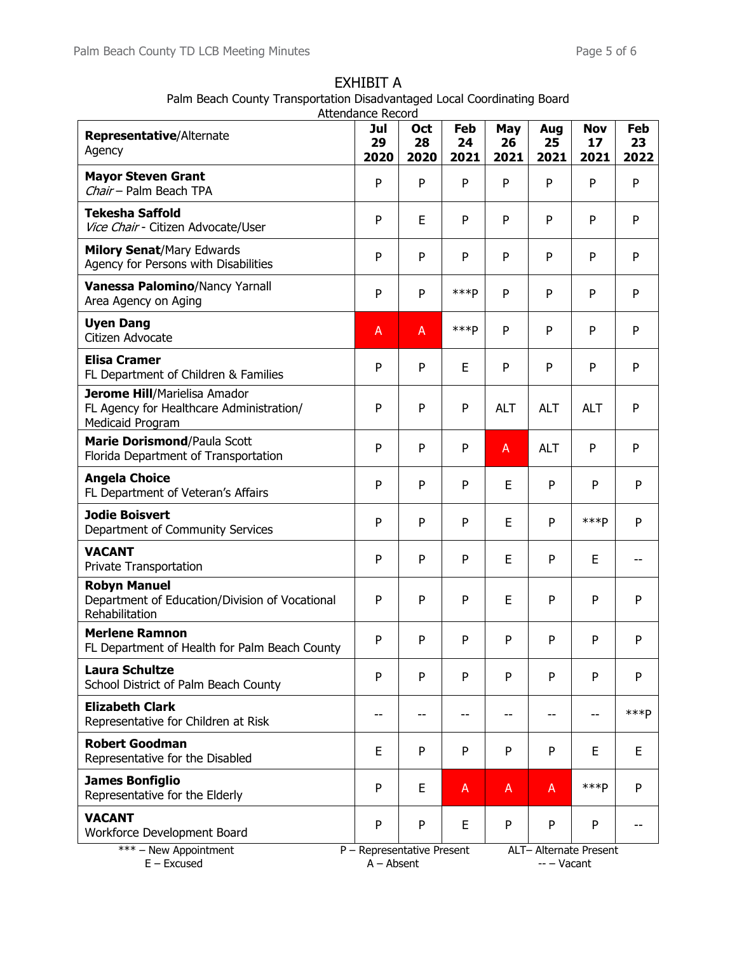|                                                                                              | Attendance Record                          |                   |                   |                   |                   |                          |                   |  |  |  |
|----------------------------------------------------------------------------------------------|--------------------------------------------|-------------------|-------------------|-------------------|-------------------|--------------------------|-------------------|--|--|--|
| Representative/Alternate<br>Agency                                                           | Jul<br>29<br>2020                          | Oct<br>28<br>2020 | Feb<br>24<br>2021 | May<br>26<br>2021 | Aug<br>25<br>2021 | <b>Nov</b><br>17<br>2021 | Feb<br>23<br>2022 |  |  |  |
| <b>Mayor Steven Grant</b><br>Chair - Palm Beach TPA                                          | P                                          | P                 | P                 | P                 | P                 | P                        | P                 |  |  |  |
| <b>Tekesha Saffold</b><br>Vice Chair - Citizen Advocate/User                                 | P                                          | E                 | P                 | P                 | P                 | P                        | P                 |  |  |  |
| <b>Milory Senat/Mary Edwards</b><br>Agency for Persons with Disabilities                     | P                                          | P                 | P                 | P                 | P                 | P                        | P                 |  |  |  |
| Vanessa Palomino/Nancy Yarnall<br>Area Agency on Aging                                       | P                                          | P                 | ***P              | P                 | P                 | P                        | P                 |  |  |  |
| <b>Uyen Dang</b><br>Citizen Advocate                                                         | A                                          | A                 | ***P              | P                 | P                 | P                        | P                 |  |  |  |
| <b>Elisa Cramer</b><br>FL Department of Children & Families                                  | $\mathsf{P}$                               | P                 | E                 | P                 | P                 | P                        | P                 |  |  |  |
| Jerome Hill/Marielisa Amador<br>FL Agency for Healthcare Administration/<br>Medicaid Program | P                                          | P                 | P                 | <b>ALT</b>        | <b>ALT</b>        | <b>ALT</b>               | P                 |  |  |  |
| Marie Dorismond/Paula Scott<br>Florida Department of Transportation                          | P                                          | P                 | P                 | A                 | <b>ALT</b>        | P                        | P                 |  |  |  |
| <b>Angela Choice</b><br>FL Department of Veteran's Affairs                                   | P                                          | P                 | P                 | E                 | P                 | P                        | P                 |  |  |  |
| <b>Jodie Boisvert</b><br>Department of Community Services                                    | P                                          | P                 | P                 | E                 | P                 | ***P                     | P                 |  |  |  |
| <b>VACANT</b><br>Private Transportation                                                      | P                                          | P                 | P                 | E                 | P                 | E                        |                   |  |  |  |
| <b>Robyn Manuel</b><br>Department of Education/Division of Vocational<br>Rehabilitation      | P                                          | P                 | P                 | E                 | P                 | P                        | P                 |  |  |  |
| <b>Merlene Ramnon</b><br>FL Department of Health for Palm Beach County                       | P                                          | P                 | P                 | P                 | P                 | P                        | P                 |  |  |  |
| Laura Schultze<br>School District of Palm Beach County                                       | P                                          | P                 | P                 | P                 | P                 | P                        | P                 |  |  |  |
| <b>Elizabeth Clark</b><br>Representative for Children at Risk                                | $-$                                        | $-$               | $-$               | --                | $-$               | $-$                      | $***p$            |  |  |  |
| <b>Robert Goodman</b><br>Representative for the Disabled                                     | E                                          | P                 | P                 | P                 | P                 | E                        | E                 |  |  |  |
| <b>James Bonfiglio</b><br>Representative for the Elderly                                     | P                                          | E                 | A                 | A                 | A                 | $***p$                   | P                 |  |  |  |
| <b>VACANT</b><br>Workforce Development Board                                                 | P                                          | P                 | E                 | P                 | P                 | P                        |                   |  |  |  |
| *** - New Appointment<br>$E - Excused$                                                       | P - Representative Present<br>$A - Absent$ |                   |                   |                   | -- - Vacant       | ALT- Alternate Present   |                   |  |  |  |

EXHIBIT A Palm Beach County Transportation Disadvantaged Local Coordinating Board